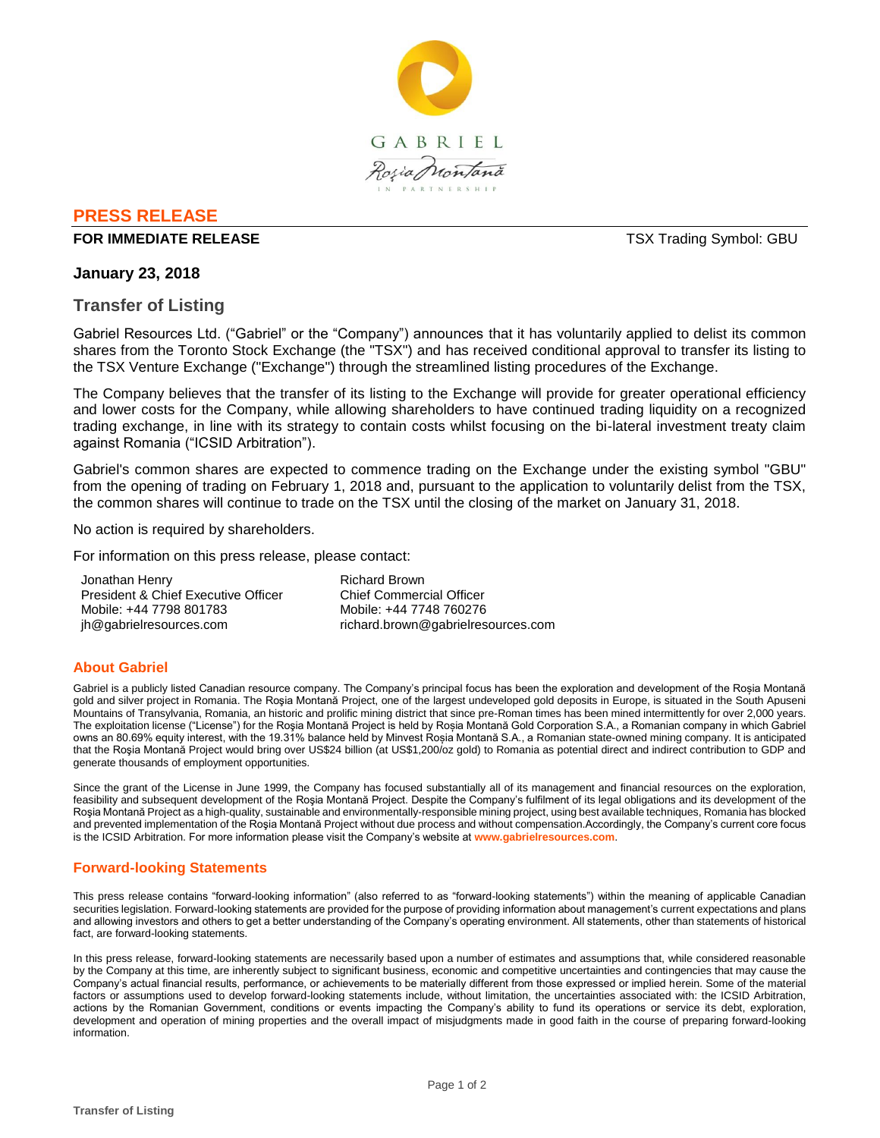

# **PRESS RELEASE**

#### **FOR IMMEDIATE RELEASE TO A 2003 TO A 2004 TO A 2004 TO A 2004 TO A 2004 TO A 2004 TO A 2004 TO A 2004 TO A 2004 TO A 2004 TO A 2004 TO A 2004 TO A 2004 TO A 2004 TO A 2004 TO A 2004 TO A 2004 TO A 2004 TO A 2004 TO A 20**

## **January 23, 2018**

## **Transfer of Listing**

Gabriel Resources Ltd. ("Gabriel" or the "Company") announces that it has voluntarily applied to delist its common shares from the Toronto Stock Exchange (the "TSX") and has received conditional approval to transfer its listing to the TSX Venture Exchange ("Exchange") through the streamlined listing procedures of the Exchange.

The Company believes that the transfer of its listing to the Exchange will provide for greater operational efficiency and lower costs for the Company, while allowing shareholders to have continued trading liquidity on a recognized trading exchange, in line with its strategy to contain costs whilst focusing on the bi-lateral investment treaty claim against Romania ("ICSID Arbitration").

Gabriel's common shares are expected to commence trading on the Exchange under the existing symbol "GBU" from the opening of trading on February 1, 2018 and, pursuant to the application to voluntarily delist from the TSX, the common shares will continue to trade on the TSX until the closing of the market on January 31, 2018.

No action is required by shareholders.

For information on this press release, please contact:

Jonathan Henry President & Chief Executive Officer Mobile: +44 7798 801783 [jh@gabrielresources.com](mailto:jh@gabrielresources.com)

Richard Brown Chief Commercial Officer Mobile: +44 7748 760276 richard.brown@gabrielresources.com

## **About Gabriel**

Gabriel is a publicly listed Canadian resource company. The Company's principal focus has been the exploration and development of the Roșia Montană gold and silver project in Romania. The Roşia Montană Project, one of the largest undeveloped gold deposits in Europe, is situated in the South Apuseni Mountains of Transylvania, Romania, an historic and prolific mining district that since pre-Roman times has been mined intermittently for over 2,000 years. The exploitation license ("License") for the Roşia Montană Project is held by Roșia Montană Gold Corporation S.A., a Romanian company in which Gabriel owns an 80.69% equity interest, with the 19.31% balance held by Minvest Roșia Montană S.A., a Romanian state-owned mining company. It is anticipated that the Roşia Montană Project would bring over US\$24 billion (at US\$1,200/oz gold) to Romania as potential direct and indirect contribution to GDP and generate thousands of employment opportunities.

Since the grant of the License in June 1999, the Company has focused substantially all of its management and financial resources on the exploration, feasibility and subsequent development of the Roşia Montană Project. Despite the Company's fulfilment of its legal obligations and its development of the Rosia Montană Project as a high-quality, sustainable and environmentally-responsible mining project, using best available techniques, Romania has blocked and prevented implementation of the Roşia Montană Project without due process and without compensation.Accordingly, the Company's current core focus is the ICSID Arbitration. For more information please visit the Company's website at **www.gabrielresources.com**.

## **Forward-looking Statements**

This press release contains "forward-looking information" (also referred to as "forward-looking statements") within the meaning of applicable Canadian securities legislation. Forward-looking statements are provided for the purpose of providing information about management's current expectations and plans and allowing investors and others to get a better understanding of the Company's operating environment. All statements, other than statements of historical fact, are forward-looking statements.

In this press release, forward-looking statements are necessarily based upon a number of estimates and assumptions that, while considered reasonable by the Company at this time, are inherently subject to significant business, economic and competitive uncertainties and contingencies that may cause the Company's actual financial results, performance, or achievements to be materially different from those expressed or implied herein. Some of the material factors or assumptions used to develop forward-looking statements include, without limitation, the uncertainties associated with: the ICSID Arbitration, actions by the Romanian Government, conditions or events impacting the Company's ability to fund its operations or service its debt, exploration, development and operation of mining properties and the overall impact of misjudgments made in good faith in the course of preparing forward-looking information.